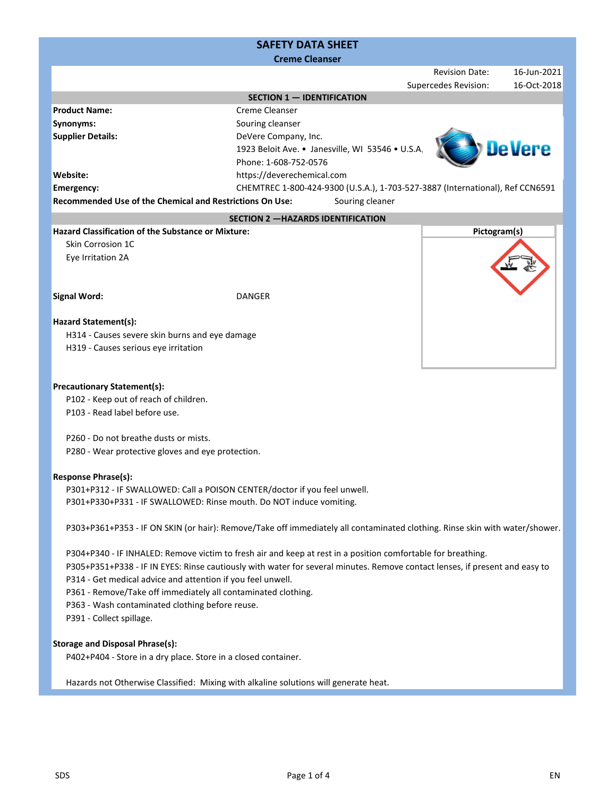# Revision Date: 16‐Jun‐2021 Supercedes Revision: 16‐Oct‐2018 **Website: Emergency: Recommended Use of the Chemical and Restrictions On Use: Hazard Classification of the Substance or Mixture:** Skin Corrosion 1C Eye Irritation 2A **Signal Word: Hazard Statement(s):** H314 ‐ Causes severe skin burns and eye damage H319 ‐ Causes serious eye irritation **Precautionary Statement(s): Response Phrase(s): Pictogram(s)** DANGER P102 ‐ Keep out of reach of children. P103 ‐ Read label before use. P260 ‐ Do not breathe dusts or mists. **SAFETY DATA SHEET Product Name: Synonyms: Supplier Details:** Creme Cleanser Souring cleanser DeVere Company, Inc. **Creme Cleanser** CHEMTREC 1‐800‐424‐9300 (U.S.A.), 1‐703‐527‐3887 (International), Ref CCN6591 **SECTION 2 —HAZARDS IDENTIFICATION SECTION 1 — IDENTIFICATION** https://deverechemical.com Souring cleaner 1923 Beloit Ave. • Janesville, WI 53546 • U.S.A. Phone: 1‐608‐752‐0576 P301+P312 ‐ IF SWALLOWED: Call a POISON CENTER/doctor if you feel unwell. P301+P330+P331 ‐ IF SWALLOWED: Rinse mouth. Do NOT induce vomiting. P303+P361+P353 ‐ IF ON SKIN (or hair): Remove/Take off immediately all contaminated clothing. Rinse skin with water/shower. P304+P340 ‐ IF INHALED: Remove victim to fresh air and keep at rest in a position comfortable for breathing. P361 ‐ Remove/Take off immediately all contaminated clothing. P280 ‐ Wear protective gloves and eye protection. P305+P351+P338 ‐ IF IN EYES: Rinse cautiously with water for several minutes. Remove contact lenses, if present and easy to P314 ‐ Get medical advice and attention if you feel unwell.

P363 ‐ Wash contaminated clothing before reuse.

P391 ‐ Collect spillage.

# **Storage and Disposal Phrase(s):**

P402+P404 ‐ Store in a dry place. Store in a closed container.

Hazards not Otherwise Classified: Mixing with alkaline solutions will generate heat.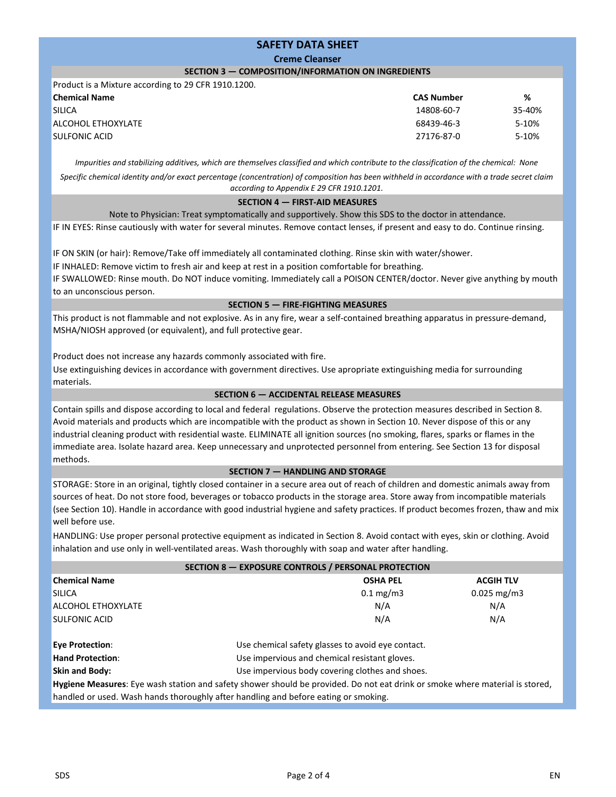## **SAFETY DATA SHEET**

#### **Creme Cleanser**

### **SECTION 3 — COMPOSITION/INFORMATION ON INGREDIENTS**

Product is a Mixture according to 29 CFR 1910.1200. SULFONIC ACID 27176‐87‐0 **Chemical Name CAS Number SILICA** ALCOHOL ETHOXYLATE

Impurities and stabilizing additives, which are themselves classified and which contribute to the classification of the chemical: None

Specific chemical identity and/or exact percentage (concentration) of composition has been withheld in accordance with a trade secret claim *according to Appendix E 29 CFR 1910.1201.*

#### **SECTION 4 — FIRST‐AID MEASURES**

Note to Physician: Treat symptomatically and supportively. Show this SDS to the doctor in attendance.

IF IN EYES: Rinse cautiously with water for several minutes. Remove contact lenses, if present and easy to do. Continue rinsing.

IF ON SKIN (or hair): Remove/Take off immediately all contaminated clothing. Rinse skin with water/shower.

IF INHALED: Remove victim to fresh air and keep at rest in a position comfortable for breathing.

IF SWALLOWED: Rinse mouth. Do NOT induce vomiting. Immediately call a POISON CENTER/doctor. Never give anything by mouth to an unconscious person.

#### **SECTION 5 — FIRE‐FIGHTING MEASURES**

This product is not flammable and not explosive. As in any fire, wear a self‐contained breathing apparatus in pressure‐demand, MSHA/NIOSH approved (or equivalent), and full protective gear.

Product does not increase any hazards commonly associated with fire.

Use extinguishing devices in accordance with government directives. Use apropriate extinguishing media for surrounding materials.

# **SECTION 6 — ACCIDENTAL RELEASE MEASURES**

Contain spills and dispose according to local and federal regulations. Observe the protection measures described in Section 8. Avoid materials and products which are incompatible with the product as shown in Section 10. Never dispose of this or any industrial cleaning product with residential waste. ELIMINATE all ignition sources (no smoking, flares, sparks or flames in the immediate area. Isolate hazard area. Keep unnecessary and unprotected personnel from entering. See Section 13 for disposal methods.

### **SECTION 7 — HANDLING AND STORAGE**

STORAGE: Store in an original, tightly closed container in a secure area out of reach of children and domestic animals away from sources of heat. Do not store food, beverages or tobacco products in the storage area. Store away from incompatible materials (see Section 10). Handle in accordance with good industrial hygiene and safety practices. If product becomes frozen, thaw and mix well before use.

HANDLING: Use proper personal protective equipment as indicated in Section 8. Avoid contact with eyes, skin or clothing. Avoid inhalation and use only in well‐ventilated areas. Wash thoroughly with soap and water after handling.

| SECTION 8 - EXPOSURE CONTROLS / PERSONAL PROTECTION |                                                                                                                              |                  |  |  |
|-----------------------------------------------------|------------------------------------------------------------------------------------------------------------------------------|------------------|--|--|
| <b>Chemical Name</b>                                | <b>OSHA PEL</b>                                                                                                              | <b>ACGIH TLV</b> |  |  |
| <b>SILICA</b>                                       | $0.1 \text{ mg/m}$                                                                                                           | $0.025$ mg/m3    |  |  |
| <b>ALCOHOL ETHOXYLATE</b>                           | N/A                                                                                                                          | N/A              |  |  |
| <b>SULFONIC ACID</b>                                | N/A                                                                                                                          | N/A              |  |  |
| <b>Eye Protection:</b>                              | Use chemical safety glasses to avoid eye contact.                                                                            |                  |  |  |
| <b>Hand Protection:</b>                             | Use impervious and chemical resistant gloves.                                                                                |                  |  |  |
| <b>Skin and Body:</b>                               | Use impervious body covering clothes and shoes.                                                                              |                  |  |  |
|                                                     | Hygiene Measures: Eye wash station and safety shower should be provided. Do not eat drink or smoke where material is stored, |                  |  |  |

**%** 35‐40% 5‐10% 5‐10%

68439‐46‐3

14808‐60‐7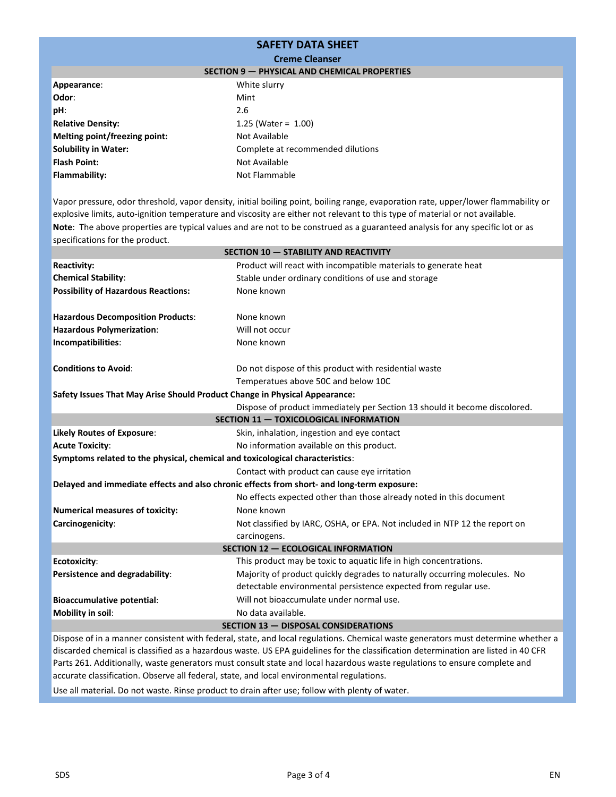# **SAFETY DATA SHEET**

#### **Creme Cleanser**

|  | SECTION 9 - PHYSICAL AND CHEMICAL PROPERTIES |  |  |
|--|----------------------------------------------|--|--|
|--|----------------------------------------------|--|--|

| Appearance:                   | White slurry                      |
|-------------------------------|-----------------------------------|
| Odor:                         | Mint                              |
| pH:                           | 2.6                               |
| <b>Relative Density:</b>      | 1.25 (Water = $1.00$ )            |
| Melting point/freezing point: | Not Available                     |
| <b>Solubility in Water:</b>   | Complete at recommended dilutions |
| <b>Flash Point:</b>           | Not Available                     |
| <b>Flammability:</b>          | Not Flammable                     |

**Note**: The above properties are typical values and are not to be construed as a guaranteed analysis for any specific lot or as specifications for the product. Vapor pressure, odor threshold, vapor density, initial boiling point, boiling range, evaporation rate, upper/lower flammability or explosive limits, auto-ignition temperature and viscosity are either not relevant to this type of material or not available.

| SECTION 10 - STABILITY AND REACTIVITY                                         |                                                                                            |  |  |  |
|-------------------------------------------------------------------------------|--------------------------------------------------------------------------------------------|--|--|--|
| <b>Reactivity:</b>                                                            | Product will react with incompatible materials to generate heat                            |  |  |  |
| <b>Chemical Stability:</b>                                                    | Stable under ordinary conditions of use and storage                                        |  |  |  |
| <b>Possibility of Hazardous Reactions:</b>                                    | None known                                                                                 |  |  |  |
|                                                                               |                                                                                            |  |  |  |
| <b>Hazardous Decomposition Products:</b>                                      | None known                                                                                 |  |  |  |
| <b>Hazardous Polymerization:</b>                                              | Will not occur                                                                             |  |  |  |
| Incompatibilities:                                                            | None known                                                                                 |  |  |  |
| <b>Conditions to Avoid:</b>                                                   | Do not dispose of this product with residential waste                                      |  |  |  |
|                                                                               | Temperatues above 50C and below 10C                                                        |  |  |  |
| Safety Issues That May Arise Should Product Change in Physical Appearance:    |                                                                                            |  |  |  |
|                                                                               | Dispose of product immediately per Section 13 should it become discolored.                 |  |  |  |
| SECTION 11 - TOXICOLOGICAL INFORMATION                                        |                                                                                            |  |  |  |
| <b>Likely Routes of Exposure:</b>                                             | Skin, inhalation, ingestion and eye contact                                                |  |  |  |
| <b>Acute Toxicity:</b>                                                        | No information available on this product.                                                  |  |  |  |
| Symptoms related to the physical, chemical and toxicological characteristics: |                                                                                            |  |  |  |
|                                                                               | Contact with product can cause eye irritation                                              |  |  |  |
|                                                                               | Delayed and immediate effects and also chronic effects from short- and long-term exposure: |  |  |  |
|                                                                               | No effects expected other than those already noted in this document                        |  |  |  |
| <b>Numerical measures of toxicity:</b>                                        | None known                                                                                 |  |  |  |
| Carcinogenicity:                                                              | Not classified by IARC, OSHA, or EPA. Not included in NTP 12 the report on                 |  |  |  |
|                                                                               | carcinogens.                                                                               |  |  |  |
| SECTION 12 - ECOLOGICAL INFORMATION                                           |                                                                                            |  |  |  |
| <b>Ecotoxicity:</b>                                                           | This product may be toxic to aquatic life in high concentrations.                          |  |  |  |
| Persistence and degradability:                                                | Majority of product quickly degrades to naturally occurring molecules. No                  |  |  |  |
|                                                                               | detectable environmental persistence expected from regular use.                            |  |  |  |
| <b>Bioaccumulative potential:</b>                                             | Will not bioaccumulate under normal use.                                                   |  |  |  |
| Mobility in soil:                                                             | No data available.                                                                         |  |  |  |
| <b>SECTION 13 - DISPOSAL CONSIDERATIONS</b>                                   |                                                                                            |  |  |  |

Dispose of in a manner consistent with federal, state, and local regulations. Chemical waste generators must determine whether a discarded chemical is classified as a hazardous waste. US EPA guidelines for the classification determination are listed in 40 CFR Parts 261. Additionally, waste generators must consult state and local hazardous waste regulations to ensure complete and accurate classification. Observe all federal, state, and local environmental regulations.

Use all material. Do not waste. Rinse product to drain after use; follow with plenty of water.